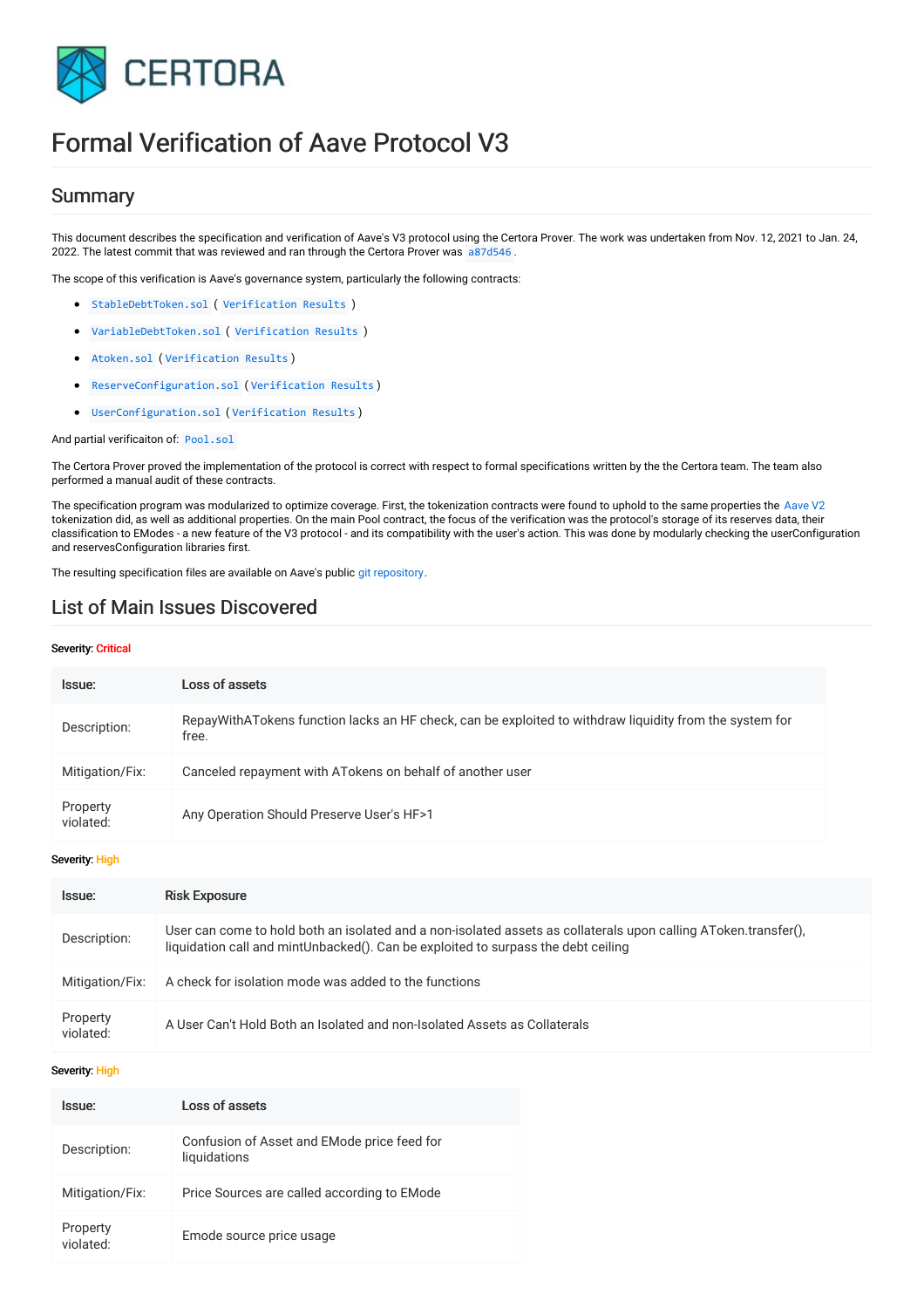

# Formal Verification of Aave Protocol V3

### **Summary**

This document describes the specification and verification of Aave's V3 protocol using the Certora Prover. The work was undertaken from Nov. 12, 2021 to Jan. 24, 2022. The latest commit that was reviewed and ran through the Certora Prover was [a87d546](https://github.com/aave/aave-v3-core/commit/a87d546d57d4e49bcb450d3c46b50d6bc6e5ddee) .

The scope of this verification is Aave's governance system, particularly the following contracts:

- [StableDebtToken.sol](https://github.com/aave/aave-v3-core/blob/master/contracts/protocol/tokenization/StableDebtToken.sol) ( [Verification](https://vaas-stg.certora.com/output/23658/fba2d71e4c3d6dbfb363/?anonymousKey=6b390e117ec02de424f710f58df71d37b665206e) Results )
- [VariableDebtToken.sol](https://github.com/aave/aave-v3-core/blob/master/contracts/protocol/tokenization/VariableDebtToken.sol) ( [Verification](https://vaas-stg.certora.com/output/23658/e86ac2232dbec433e2bb/?anonymousKey=2f3c90644d98890b8a7fa87ee0e006e8ecdd2515) Results )
- [Atoken.sol](https://github.com/aave/aave-v3-core/blob/master/contracts/protocol/tokenization/AToken.sol) ( [Verification](https://vaas-stg.certora.com/output/23658/8e3d4e70b51dc5bea42d/?anonymousKey=05a2579876175654514e8e1174ef9c98c06dde3b) Results )
- [ReserveConfiguration.sol](https://github.com/aave/aave-v3-core/blob/master/contracts/protocol/libraries/configuration/ReserveConfiguration.sol) ( [Verification](https://vaas-stg.certora.com/output/23658/633d0d7547a80788d266/?anonymousKey=83401dd8a786839159d64343adb7c70dd22c9c6c) Results )
- [UserConfiguration.sol](https://github.com/aave/aave-v3-core/blob/master/contracts/protocol/libraries/configuration/UserConfiguration.sol) ( [Verification](https://vaas-stg.certora.com/output/23658/6b970f07251caed97b46/?anonymousKey=eec671384cee54c5a44fc278db2a489cb6fc1ddd) Results )

And partial verificaiton of: [Pool.sol](https://github.com/aave/aave-v3-core/blob/master/contracts/protocol/pool/Pool.sol)

The Certora Prover proved the implementation of the protocol is correct with respect to formal specifications written by the the Certora team. The team also performed a manual audit of these contracts.

The specification program was modularized to optimize coverage. First, the tokenization contracts were found to uphold to the same properties the [Aave](https://hackmd.io/TYI3fetcQgmkAZF_ENSErA) V2 tokenization did, as well as additional properties. On the main Pool contract, the focus of the verification was the protocol's storage of its reserves data, their classification to EModes - a new feature of the V3 protocol - and its compatibility with the user's action. This was done by modularly checking the userConfiguration and reservesConfiguration libraries first.

The resulting specification files are available on Aave's public git [repository](https://github.com/aave/aave-v3-core/tree/master/Certora/certora).

# List of Main Issues Discovered

#### Severity: Critical

| Issue:                | Loss of assets                                                                                                   |
|-----------------------|------------------------------------------------------------------------------------------------------------------|
| Description:          | RepayWithATokens function lacks an HF check, can be exploited to withdraw liquidity from the system for<br>free. |
| Mitigation/Fix:       | Canceled repayment with AT okens on behalf of another user                                                       |
| Property<br>violated: | Any Operation Should Preserve User's HF>1                                                                        |

#### Severity: High

| Issue:                | <b>Risk Exposure</b>                                                                                                                                                                                 |
|-----------------------|------------------------------------------------------------------------------------------------------------------------------------------------------------------------------------------------------|
| Description:          | User can come to hold both an isolated and a non-isolated assets as collaterals upon calling AToken.transfer(),<br>liquidation call and mintUnbacked(). Can be exploited to surpass the debt ceiling |
| Mitigation/Fix:       | A check for isolation mode was added to the functions                                                                                                                                                |
| Property<br>violated: | A User Can't Hold Both an Isolated and non-Isolated Assets as Collaterals                                                                                                                            |

#### Severity: High

| Issue:                | Loss of assets                                              |
|-----------------------|-------------------------------------------------------------|
| Description:          | Confusion of Asset and EMode price feed for<br>liquidations |
| Mitigation/Fix:       | Price Sources are called according to EMode                 |
| Property<br>violated: | Emode source price usage                                    |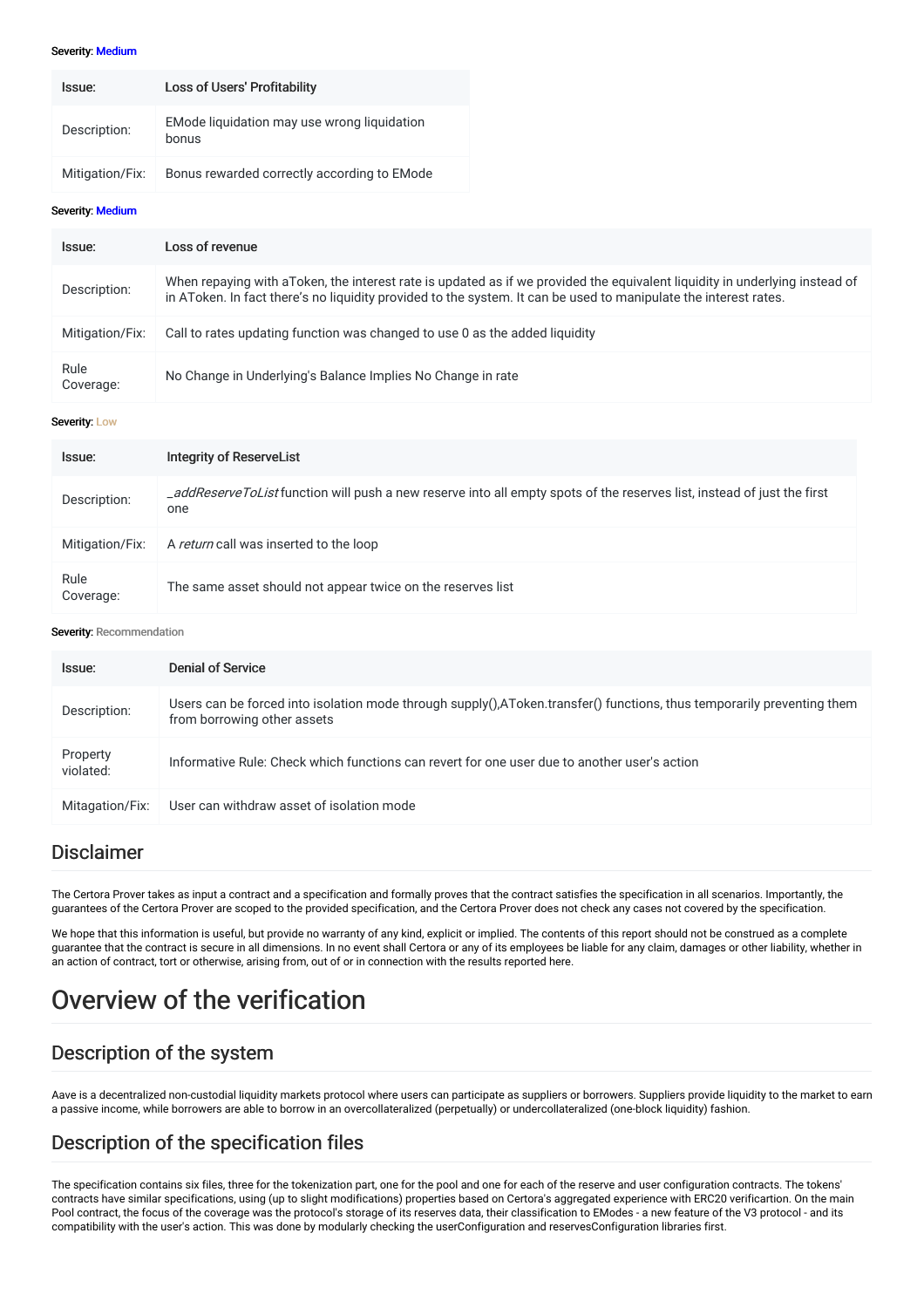#### Severity: Medium

| Issue:          | <b>Loss of Users' Profitability</b>                  |
|-----------------|------------------------------------------------------|
| Description:    | EMode liquidation may use wrong liquidation<br>honus |
| Mitigation/Fix: | Bonus rewarded correctly according to EMode          |

#### Severity: Medium

| Issue:            | Loss of revenue                                                                                                                                                                                                                                  |
|-------------------|--------------------------------------------------------------------------------------------------------------------------------------------------------------------------------------------------------------------------------------------------|
| Description:      | When repaying with a Token, the interest rate is updated as if we provided the equivalent liquidity in underlying instead of<br>in AToken. In fact there's no liquidity provided to the system. It can be used to manipulate the interest rates. |
| Mitigation/Fix:   | Call to rates updating function was changed to use 0 as the added liquidity                                                                                                                                                                      |
| Rule<br>Coverage: | No Change in Underlying's Balance Implies No Change in rate                                                                                                                                                                                      |

#### Severity: Low

| Issue:            | Integrity of ReserveList                                                                                                              |
|-------------------|---------------------------------------------------------------------------------------------------------------------------------------|
| Description:      | <i>_addReserveToList</i> function will push a new reserve into all empty spots of the reserves list, instead of just the first<br>one |
| Mitigation/Fix:   | A return call was inserted to the loop                                                                                                |
| Rule<br>Coverage: | The same asset should not appear twice on the reserves list                                                                           |

#### Severity: Recommendation

| Issue:                | Denial of Service                                                                                                                                     |
|-----------------------|-------------------------------------------------------------------------------------------------------------------------------------------------------|
| Description:          | Users can be forced into isolation mode through supply(),AToken.transfer() functions, thus temporarily preventing them<br>from borrowing other assets |
| Property<br>violated: | Informative Rule: Check which functions can revert for one user due to another user's action                                                          |
| Mitagation/Fix:       | User can withdraw asset of isolation mode                                                                                                             |

## Disclaimer

The Certora Prover takes as input a contract and a specification and formally proves that the contract satisfies the specification in all scenarios. Importantly, the guarantees of the Certora Prover are scoped to the provided specification, and the Certora Prover does not check any cases not covered by the specification.

We hope that this information is useful, but provide no warranty of any kind, explicit or implied. The contents of this report should not be construed as a complete guarantee that the contract is secure in all dimensions. In no event shall Certora or any of its employees be liable for any claim, damages or other liability, whether in an action of contract, tort or otherwise, arising from, out of or in connection with the results reported here.

# Overview of the verification

# Description of the system

Aave is a decentralized non-custodial liquidity markets protocol where users can participate as suppliers or borrowers. Suppliers provide liquidity to the market to earn a passive income, while borrowers are able to borrow in an overcollateralized (perpetually) or undercollateralized (one-block liquidity) fashion.

# Description of the specification files

The specification contains six files, three for the tokenization part, one for the pool and one for each of the reserve and user configuration contracts. The tokens' contracts have similar specifications, using (up to slight modifications) properties based on Certora's aggregated experience with ERC20 verificartion. On the main Pool contract, the focus of the coverage was the protocol's storage of its reserves data, their classification to EModes - a new feature of the V3 protocol - and its compatibility with the user's action. This was done by modularly checking the userConfiguration and reservesConfiguration libraries first.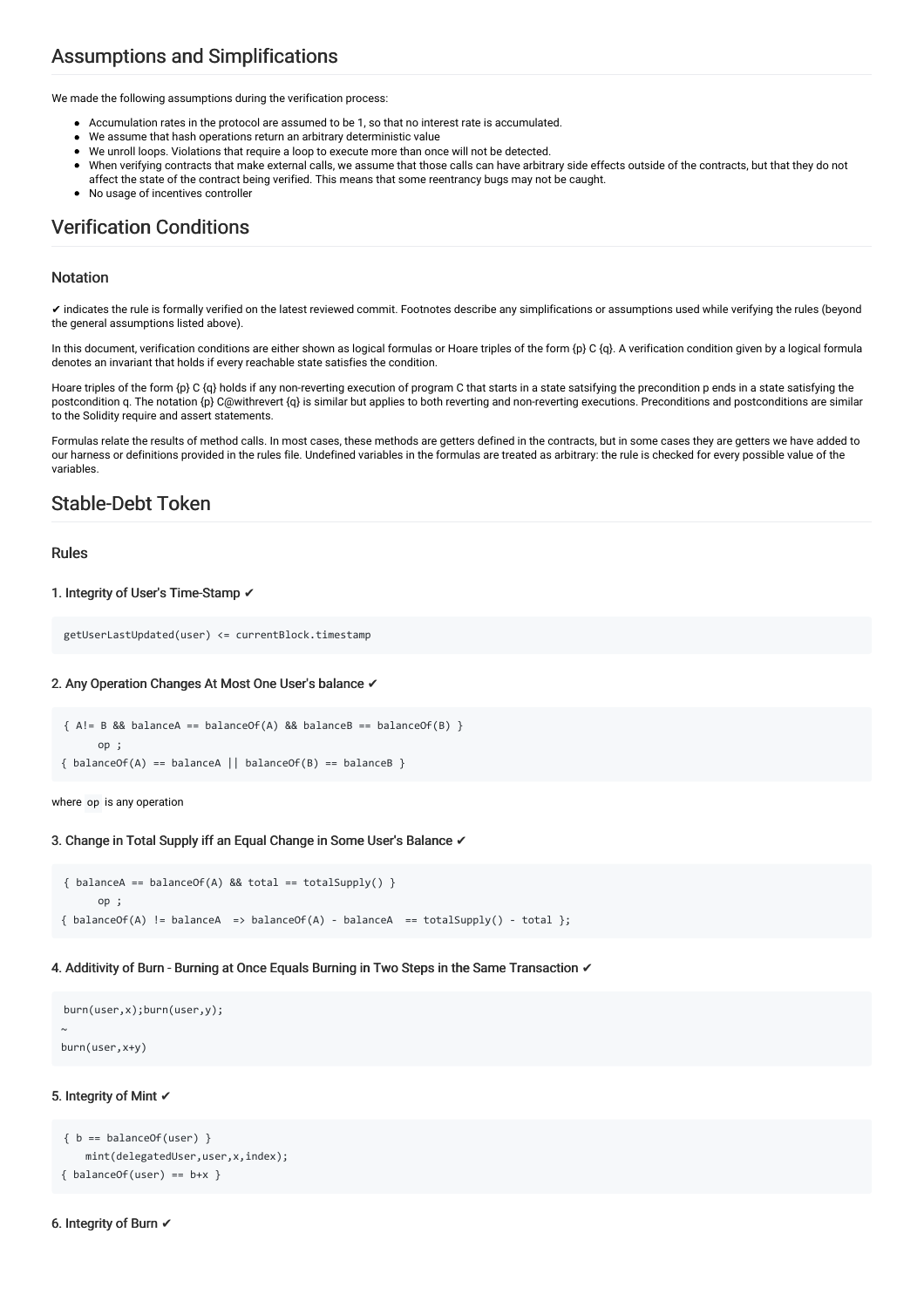# Assumptions and Simplifications

We made the following assumptions during the verification process:

- Accumulation rates in the protocol are assumed to be 1, so that no interest rate is accumulated.
- We assume that hash operations return an arbitrary deterministic value
- We unroll loops. Violations that require a loop to execute more than once will not be detected.  $\bullet$
- When verifying contracts that make external calls, we assume that those calls can have arbitrary side effects outside of the contracts, but that they do not affect the state of the contract being verified. This means that some reentrancy bugs may not be caught.
- No usage of incentives controller

# Verification Conditions

#### Notation

✔ indicates the rule is formally verified on the latest reviewed commit. Footnotes describe any simplifications or assumptions used while verifying the rules (beyond the general assumptions listed above).

In this document, verification conditions are either shown as logical formulas or Hoare triples of the form {p} C {q}. A verification condition given by a logical formula denotes an invariant that holds if every reachable state satisfies the condition.

Hoare triples of the form {p} C {q} holds if any non-reverting execution of program C that starts in a state satisfying the precondition p ends in a state satisfying the postcondition q. The notation {p} C@withrevert {q} is similar but applies to both reverting and non-reverting executions. Preconditions and postconditions are similar to the Solidity require and assert statements.

Formulas relate the results of method calls. In most cases, these methods are getters defined in the contracts, but in some cases they are getters we have added to our harness or definitions provided in the rules file. Undefined variables in the formulas are treated as arbitrary: the rule is checked for every possible value of the variables.

# Stable-Debt Token

#### Rules

#### 1. Integrity of User's Time-Stamp **✔**

```
getUserLastUpdated(user) <= currentBlock.timestamp
```
#### 2. Any Operation Changes At Most One User's balance **✔**

```
{ A! = B \& balanceA == balanceOf(A) \& balanceB == balanceOf(B) }
     op ;
{ balanceOf(A) == balanceA || balanceOf(B) == balanceB }
```
where op is any operation

#### 3. Change in Total Supply iff an Equal Change in Some User's Balance **✔**

```
{ balanceA == balanceOf(A) && total == totalSupply() }
     op ;
{ balanceOf(A) != balanceA => balanceOf(A) - balanceA == totalSupply() - total };
```
#### 4. Additivity of Burn - Burning at Once Equals Burning in Two Steps in the Same Transaction **✔**

```
burn(user,x);burn(user,y);
~
burn(user,x+y)
```
#### 5. Integrity of Mint **✔**

```
\{ b == balanceOf(user) \}mint(delegatedUser,user,x,index);
{ balanceOf(user) == b+x }
```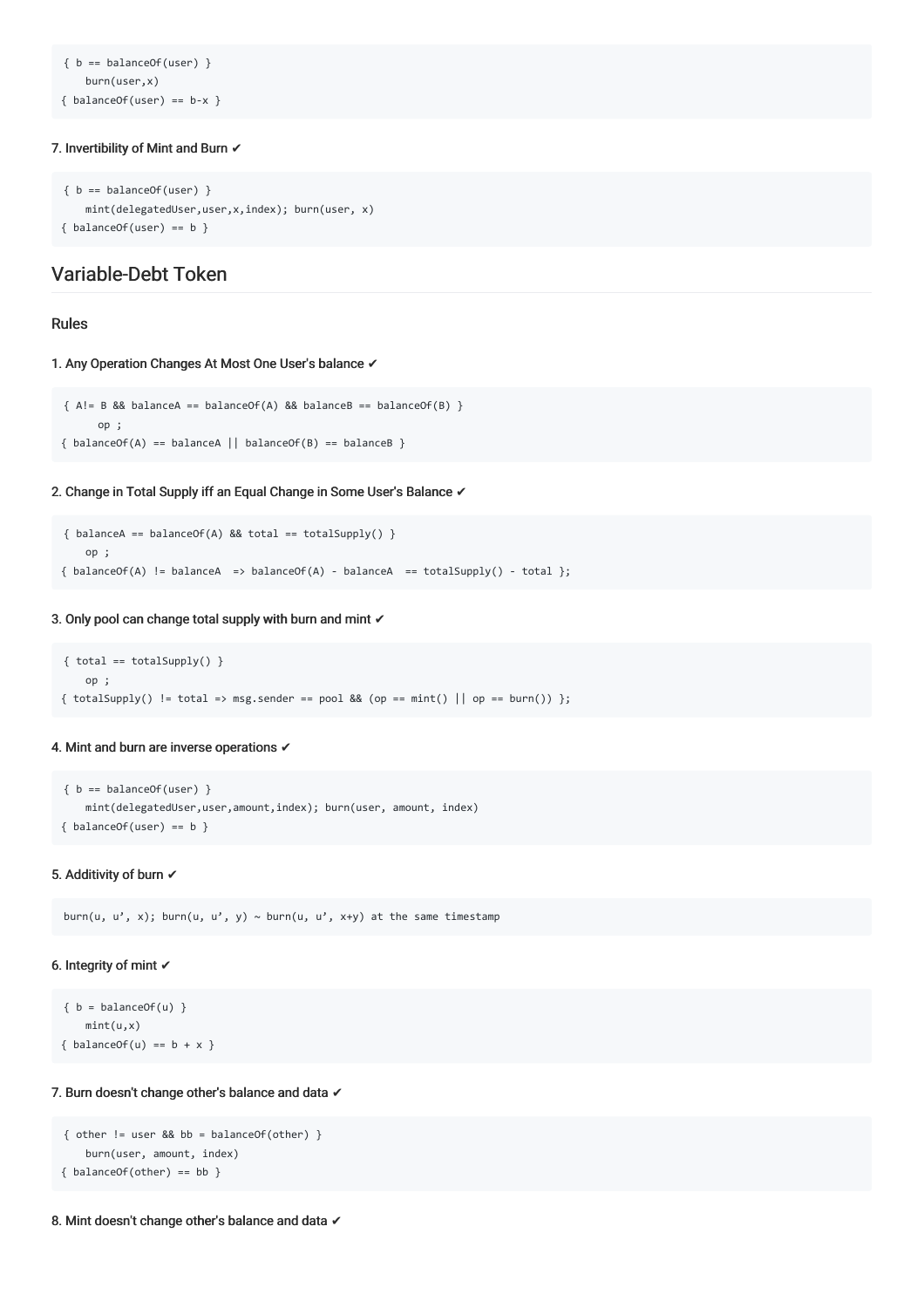```
{b == balanceOf(user)}burn(user,x)
{ balanceOf(user) == b-x }
```
#### 7. Invertibility of Mint and Burn **✔**

```
\{ b == balanceOf(user) \}mint(delegatedUser,user,x,index); burn(user, x)
{ balanceOf(user) == b }
```
# Variable-Debt Token

#### Rules

#### 1. Any Operation Changes At Most One User's balance **✔**

```
{ A!= B && balanceA == balanceOf(A) && balanceB == balanceOf(B) }
     op ;
{ balanceOf(A) == balanceA || balanceOf(B) == balanceB }
```
#### 2. Change in Total Supply iff an Equal Change in Some User's Balance **✔**

```
{ balanceA == balanceOf(A) && total == totalSupply() }
   op ;
{ balanceOf(A) != balanceA => balanceOf(A) - balanceA == totalSupply() - total };
```
#### 3. Only pool can change total supply with burn and mint **✔**

```
{ total == totalSupply() }
   op ;
{ totalSupply() != total => msg.sender == pool && (op == mint() || op == burn()) };
```
#### 4. Mint and burn are inverse operations **✔**

```
\{ b == balanceOf(user) \}mint(delegatedUser,user,amount,index); burn(user, amount, index)
{ balanceOf(user) == b }
```
#### 5. Additivity of burn **✔**

burn(u, u', x); burn(u, u', y) ~ burn(u, u', x+y) at the same timestamp

#### 6. Integrity of mint **✔**

```
{ b = balanceOf(u) }
   mint(u,x)
{ balanceOf(u) == b + x }
```
#### 7. Burn doesn't change other's balance and data **✔**

```
\{ other != user && bb = balanceOf(other) \}burn(user, amount, index)
{ balanceOf(other) == bb }
```
8. Mint doesn't change other's balance and data **✔**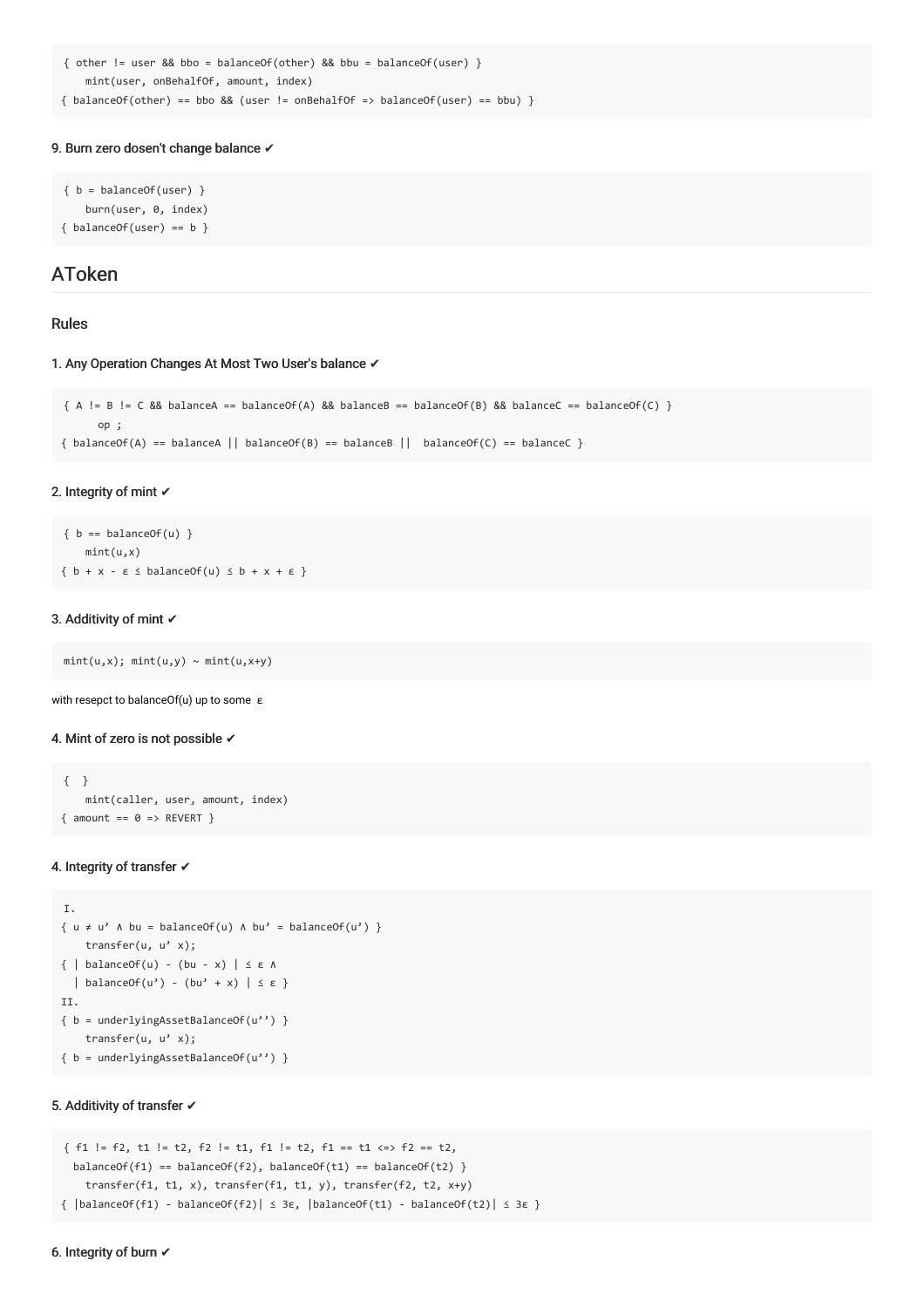{ other != user && bbo = balanceOf(other) && bbu = balanceOf(user) } mint(user, onBehalfOf, amount, index) { balanceOf(other) == bbo && (user != onBehalfOf => balanceOf(user) == bbu) }

#### 9. Burn zero dosen't change balance **✔**

```
\{ b = balanceOf(user) \}burn(user, 0, index)
{ balanceOf(user) == b }
```
## AToken

#### Rules

#### 1. Any Operation Changes At Most Two User's balance **✔**

```
{ A != B != C && balanceA == balanceOf(A) && balanceB == balanceOf(B) && balanceC == balanceOf(C) }
     op ;
{ balanceOf(A) == balanceA || balanceOf(B) == balanceB || balanceOf(C) == balanceC }
```
#### 2. Integrity of mint **✔**

```
{ b == balanceOf(u) }
    mint(u,x)
\{ b + x - \epsilon \leq balanceOf(u) \leq b + x + \epsilon \}
```
#### 3. Additivity of mint **✔**

 $min(u,x); min(u,y) \sim min(u,x+y)$ 

with resepct to balanceOf(u) up to some ε

#### 4. Mint of zero is not possible **✔**

```
{ }
    mint(caller, user, amount, index)
\{ amount == \theta => REVERT \}
```
#### 4. Integrity of transfer **✔**

```
I.
{ u \neq u' \wedge bu = balanceOf(u) \wedge bu' = balanceOf(u') }
    transfer(u, u' x);
{ \} | balanceOf(u) - (bu - x) | \leq \epsilon \Lambda| balanceOf(u') - (bu' + x) | \le \varepsilon }
II.
{ b = underlyingAssetBalanceOf(u'') }
    transfer(u, u' x);
{ b = underlyingAssetBalanceOf(u'') }
```
#### 5. Additivity of transfer **✔**

```
{ f1 := f2, t1 := t2, f2 := t1, f1 := t2, f1 == t1 \iff f2 == t2,
 balanceOf(f1) == balanceOf(f2), balanceOf(t1) == balanceOf(t2) }
    transfer(f1, t1, x), transfer(f1, t1, y), transfer(f2, t2, x+y)
{ |balanceOf(f1) - balanceOf(f2)| \leq 3ε, |balanceOf(t1) - balanceOf(t2)| \leq 3ε }
```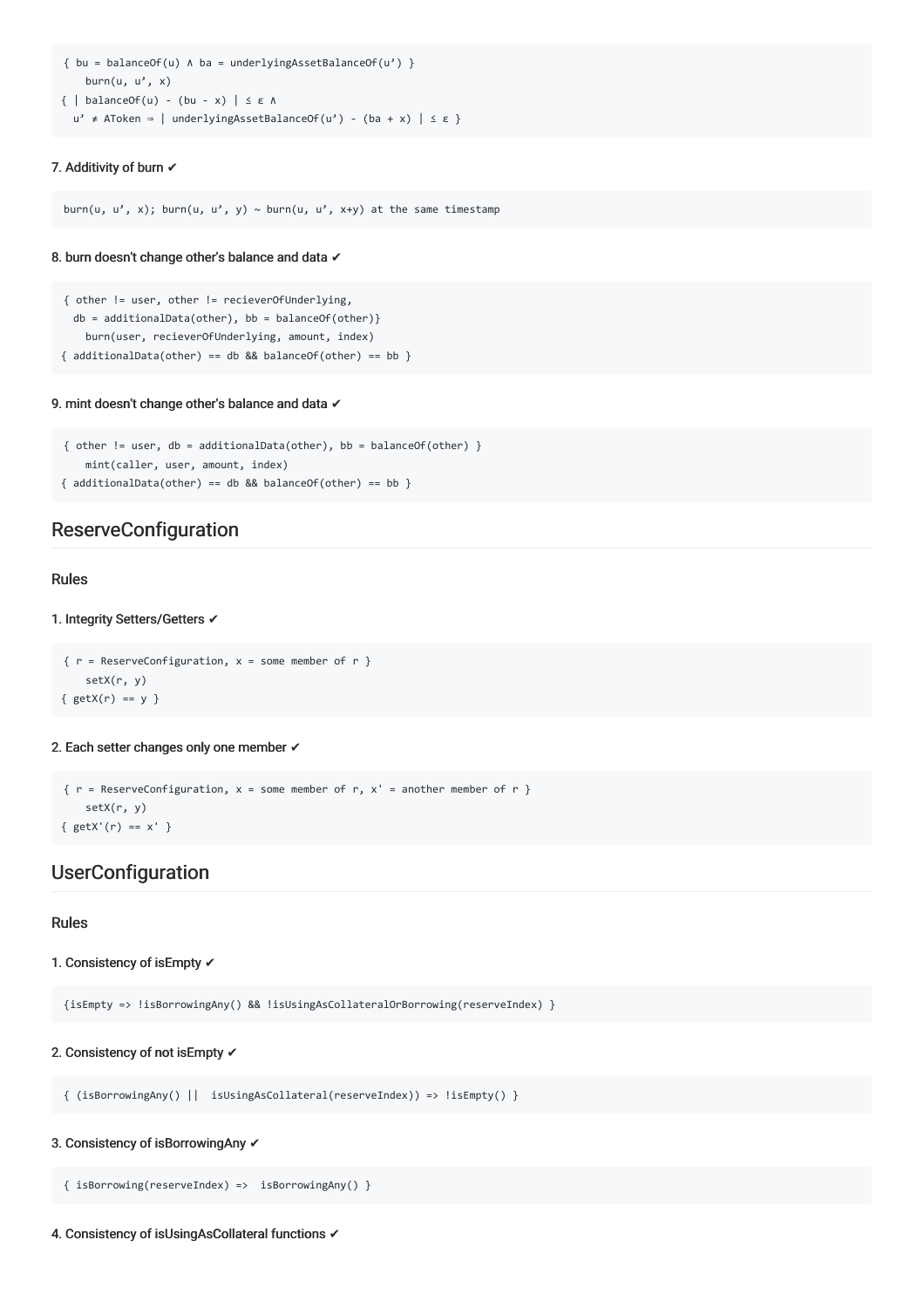```
{ bu = balanceOf(u) ∧ ba = underlyingAssetBalanceOf(u') }
   burn(u, u', x)
{ | balanceOf(u) - (bu - x) | \leq \varepsilon \Lambdau' ≠ AToken ⇒ | underlyingAssetBalanceOf(u') - (ba + x) | ≤ ε }
```
### 7. Additivity of burn **✔**

burn(u, u', x); burn(u, u', y) ~ burn(u, u', x+y) at the same timestamp

#### 8. burn doesn't change other's balance and data **✔**

```
{ other != user, other != recieverOfUnderlying,
 db = additionalData(other), bb = balanceOf(other)burn(user, recieverOfUnderlying, amount, index)
{ additionaData(other) == db & balanceOf(other) == bb }
```
#### 9. mint doesn't change other's balance and data **✔**

```
{ other != user, db = additionalData(other), bb = balanceOf(other) }
   mint(caller, user, amount, index)
{ additionalData(other) == db 8& balanceOf(other) == bb}
```
# ReserveConfiguration

#### Rules

#### 1. Integrity Setters/Getters **✔**

 $\{ r = \text{ReserveConfiguration}, x = \text{some member of } r \}$ setX(r, y) {  $getX(r) == y$  }

#### 2. Each setter changes only one member **✔**

```
{ r = ReserveConfiguration, x = some member of r, x' = another member of r }
    setX(r, y)
{ getX'(r) == x' }
```
### **UserConfiguration**

#### Rules

```
1. Consistency of isEmpty ✔
```
{isEmpty => !isBorrowingAny() && !isUsingAsCollateralOrBorrowing(reserveIndex) }

#### 2. Consistency of not isEmpty **✔**

```
{ (isBorrowingAny() || isUsingAsCollateral(reserveIndex)) => !isEmpty() }
```
#### 3. Consistency of isBorrowingAny **✔**

{ isBorrowing(reserveIndex) => isBorrowingAny() }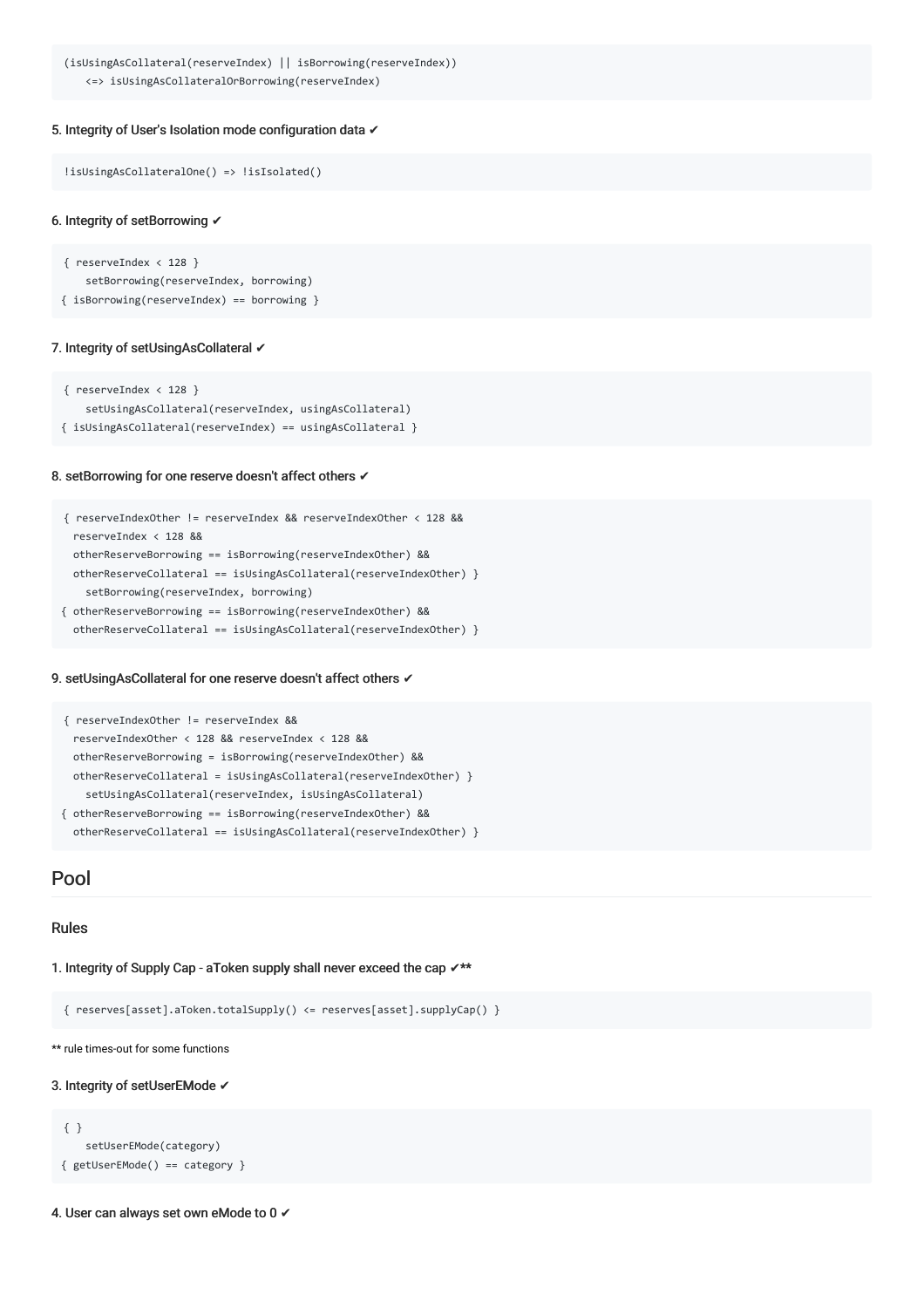(isUsingAsCollateral(reserveIndex) || isBorrowing(reserveIndex)) <=> isUsingAsCollateralOrBorrowing(reserveIndex)

#### 5. Integrity of User's Isolation mode configuration data **✔**

```
!isUsingAsCollateralOne() => !isIsolated()
```
#### 6. Integrity of setBorrowing **✔**

```
{ reserveIndex < 128 }
   setBorrowing(reserveIndex, borrowing)
```
{ isBorrowing(reserveIndex) == borrowing }

#### 7. Integrity of setUsingAsCollateral **✔**

```
{ reserveIndex < 128 }
    setUsingAsCollateral(reserveIndex, usingAsCollateral)
{ isUsingAsCollateral(reserveIndex) == usingAsCollateral }
```
#### 8. setBorrowing for one reserve doesn't affect others **✔**

```
{ reserveIndexOther != reserveIndex && reserveIndexOther < 128 &&
 reserveIndex < 128 &&
 otherReserveBorrowing == isBorrowing(reserveIndexOther) &&
 otherReserveCollateral == isUsingAsCollateral(reserveIndexOther) }
    setBorrowing(reserveIndex, borrowing)
{ otherReserveBorrowing == isBorrowing(reserveIndexOther) &&
 otherReserveCollateral == isUsingAsCollateral(reserveIndexOther) }
```
#### 9. setUsingAsCollateral for one reserve doesn't affect others **√**

```
{ reserveIndexOther != reserveIndex &&
  reserveIndexOther < 128 && reserveIndex < 128 &&
 otherReserveBorrowing = isBorrowing(reserveIndexOther) &&
 otherReserveCollateral = isUsingAsCollateral(reserveIndexOther) }
    setUsingAsCollateral(reserveIndex, isUsingAsCollateral)
{ otherReserveBorrowing == isBorrowing(reserveIndexOther) &&
 otherReserveCollateral == isUsingAsCollateral(reserveIndexOther) }
```
### Pool

#### Rules

#### 1. Integrity of Supply Cap - aToken supply shall never exceed the cap **✔**\*\*

{ reserves[asset].aToken.totalSupply() <= reserves[asset].supplyCap() }

\*\* rule times-out for some functions

#### 3. Integrity of setUserEMode **✔**

```
{ }
    setUserEMode(category)
{ getUserEMode() == category }
```
4. User can always set own eMode to 0 **✔**